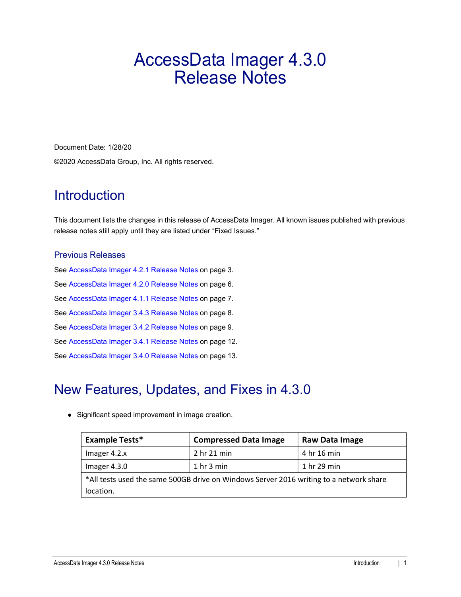# AccessData Imager 4.3.0 Release Notes

Document Date: 1/28/20 ©2020 AccessData Group, Inc. All rights reserved.

## **Introduction**

This document lists the changes in this release of AccessData Imager. All known issues published with previous release notes still apply until they are listed under "Fixed Issues."

### Previous Releases

[See AccessData Imager 4.2.1 Release Notes on page](#page-2-0) 3. [See AccessData Imager 4.2.0 Release Notes on page](#page-5-0) 6. [See AccessData Imager 4.1.1 Release Notes on page](#page-6-0) 7. [See AccessData Imager 3.4.3 Release Notes on page](#page-7-0) 8. [See AccessData Imager 3.4.2 Release Notes on page](#page-8-0) 9. [See AccessData Imager 3.4.1 Release Notes on page](#page-11-0) 12. [See AccessData Imager 3.4.0 Release Notes on page](#page-12-0) 13.

# New Features, Updates, and Fixes in 4.3.0

• Significant speed improvement in image creation.

| <b>Example Tests*</b> | <b>Compressed Data Image</b>                                                           | Raw Data Image |
|-----------------------|----------------------------------------------------------------------------------------|----------------|
| Imager 4.2.x          | 2 hr 21 min                                                                            | 4 hr 16 min    |
| Imager 4.3.0          | 1 <sub>hr</sub> 3 <sub>min</sub>                                                       | 1 hr 29 min    |
|                       | *All tests used the same 500GB drive on Windows Server 2016 writing to a network share |                |
| location.             |                                                                                        |                |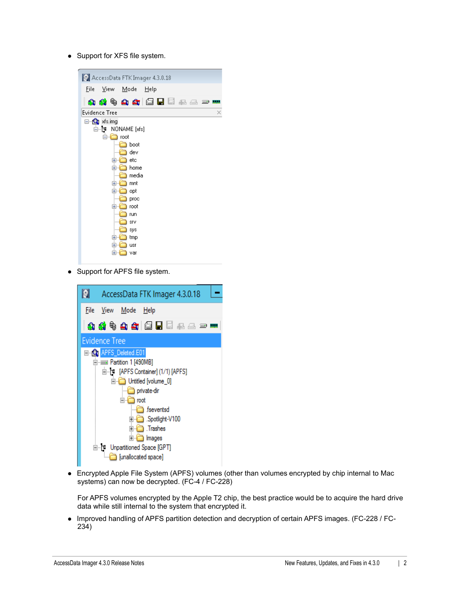• Support for XFS file system.

| AccessData FTK Imager 4.3.0.18 |
|--------------------------------|
| Mode<br>Eile<br>View<br>Help   |
| 4844414558585                  |
| <b>Evidence Tree</b><br>×      |
| ⊟… Sonal xfs.img               |
| ட்⊢ r NONAME [xfs]             |
| e in<br>root                   |
| boot                           |
| dev                            |
| etc<br>$\overline{+}$          |
| home<br>ஈ                      |
| media                          |
| mnt<br>Ŧ                       |
| Ŧ<br>opt                       |
| proc                           |
| root<br>$\mathbf{H}$           |
| run                            |
| SIV                            |
| sys                            |
| tmp<br>⊞                       |
| $\overline{+}$<br>usr          |
| ஈ<br>var                       |
|                                |

• Support for APFS file system.



 Encrypted Apple File System (APFS) volumes (other than volumes encrypted by chip internal to Mac systems) can now be decrypted. (FC-4 / FC-228)

For APFS volumes encrypted by the Apple T2 chip, the best practice would be to acquire the hard drive data while still internal to the system that encrypted it.

• Improved handling of APFS partition detection and decryption of certain APFS images. (FC-228 / FC-234)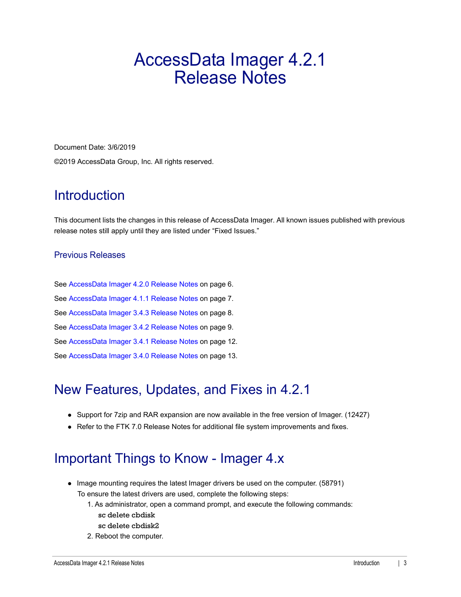# <span id="page-2-0"></span>AccessData Imager 4.2.1 Release Notes

Document Date: 3/6/2019 ©2019 AccessData Group, Inc. All rights reserved.

## **Introduction**

This document lists the changes in this release of AccessData Imager. All known issues published with previous release notes still apply until they are listed under "Fixed Issues."

### Previous Releases

[See AccessData Imager 4.2.0 Release Notes on page](#page-5-0) 6. [See AccessData Imager 4.1.1 Release Notes on page](#page-6-0) 7. [See AccessData Imager 3.4.3 Release Notes on page](#page-7-0) 8. [See AccessData Imager 3.4.2 Release Notes on page](#page-8-0) 9. [See AccessData Imager 3.4.1 Release Notes on page](#page-11-0) 12. [See AccessData Imager 3.4.0 Release Notes on page](#page-12-0) 13.

# New Features, Updates, and Fixes in 4.2.1

- Support for 7zip and RAR expansion are now available in the free version of Imager. (12427)
- Refer to the FTK 7.0 Release Notes for additional file system improvements and fixes.

## Important Things to Know - Imager 4.x

- Image mounting requires the latest Imager drivers be used on the computer. (58791) To ensure the latest drivers are used, complete the following steps:
	- 1. As administrator, open a command prompt, and execute the following commands: sc delete cbdisk sc delete cbdisk2
	- 2. Reboot the computer.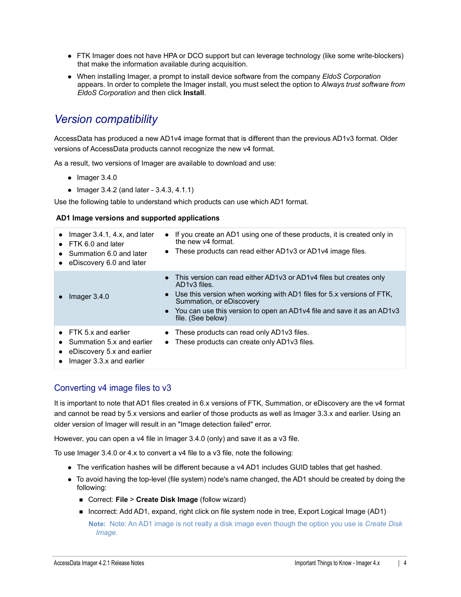- FTK Imager does not have HPA or DCO support but can leverage technology (like some write-blockers) that make the information available during acquisition.
- When installing Imager, a prompt to install device software from the company *EldoS Corporation*  appears. In order to complete the Imager install, you must select the option to *Always trust software from EldoS Corporation* and then click **Install**.

### *Version compatibility*

AccessData has produced a new AD1v4 image format that is different than the previous AD1v3 format. Older versions of AccessData products cannot recognize the new v4 format.

As a result, two versions of Imager are available to download and use:

- $\bullet$  Imager 3.4.0
- Imager  $3.4.2$  (and later  $3.4.3$ ,  $4.1.1$ )

Use the following table to understand which products can use which AD1 format.

#### **AD1 Image versions and supported applications**

| Imager $3.4.1$ , $4.x$ , and later<br>$\bullet$ FTK 6.0 and later<br>Summation 6.0 and later<br>• eDiscovery 6.0 and later | If you create an AD1 using one of these products, it is created only in<br>the new v4 format.<br>• These products can read either AD1v3 or AD1v4 image files.                                                                                                                                          |
|----------------------------------------------------------------------------------------------------------------------------|--------------------------------------------------------------------------------------------------------------------------------------------------------------------------------------------------------------------------------------------------------------------------------------------------------|
| Imager $3.4.0$                                                                                                             | • This version can read either AD1v3 or AD1v4 files but creates only<br>AD1v3 files.<br>Use this version when working with AD1 files for 5.x versions of FTK,<br>Summation, or eDiscovery<br>• You can use this version to open an AD1 $\nu$ 4 file and save it as an AD1 $\nu$ 3<br>file. (See below) |
| $\bullet$ FTK 5.x and earlier<br>Summation 5.x and earlier<br>eDiscovery 5.x and earlier<br>Imager 3.3.x and earlier       | These products can read only AD1v3 files.<br>These products can create only AD1v3 files.<br>$\bullet$                                                                                                                                                                                                  |

### Converting v4 image files to v3

It is important to note that AD1 files created in 6.x versions of FTK, Summation, or eDiscovery are the v4 format and cannot be read by 5.x versions and earlier of those products as well as Imager 3.3.x and earlier. Using an older version of Imager will result in an "Image detection failed" error.

However, you can open a v4 file in Imager 3.4.0 (only) and save it as a v3 file.

To use Imager 3.4.0 or 4.x to convert a v4 file to a v3 file, note the following:

- The verification hashes will be different because a v4 AD1 includes GUID tables that get hashed.
- To avoid having the top-level (file system) node's name changed, the AD1 should be created by doing the following:
	- Correct: **File > Create Disk Image** (follow wizard)
	- Incorrect: Add AD1, expand, right click on file system node in tree, Export Logical Image (AD1) **Note:** Note: An AD1 image is not really a disk image even though the option you use is *Create Disk Image*.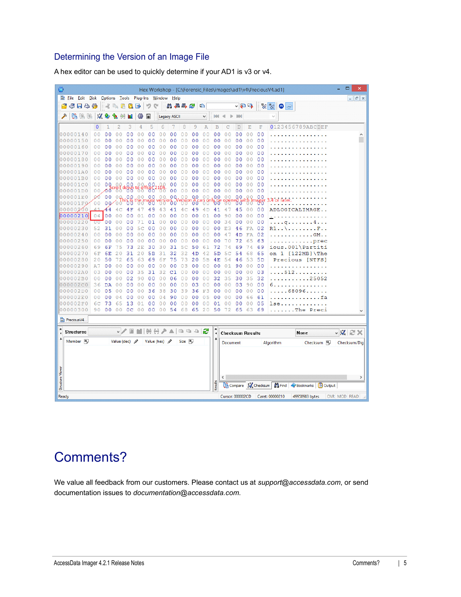### Determining the Version of an Image File

| Θ                |                      |    |                |                |                                  |                |                |                                  |                                    |                     |                |                |                           |                           |                           |                |                      |                           | Hex Workshop - [C:\Forensic_Files\images\ad1\v4\PreciousV4.ad1] |                                | Ξ<br>$\boldsymbol{\mathsf{x}}$ |
|------------------|----------------------|----|----------------|----------------|----------------------------------|----------------|----------------|----------------------------------|------------------------------------|---------------------|----------------|----------------|---------------------------|---------------------------|---------------------------|----------------|----------------------|---------------------------|-----------------------------------------------------------------|--------------------------------|--------------------------------|
|                  | <b>She Edit</b> Disk |    |                |                |                                  |                |                |                                  | Options Tools Plug-Ins Window Help |                     |                |                |                           |                           |                           |                |                      |                           |                                                                 |                                | $ F$ $x$                       |
|                  | 子日も移                 |    |                |                | $\mathbb{R}$ and                 | R.             | ≰⊧             | つぐ                               |                                    | 出相斗之                |                |                | 唱                         |                           |                           | ▽日日            |                      |                           | $\frac{10}{20}$ $\frac{10}{20}$<br>$\bigcirc$ and               |                                |                                |
|                  |                      |    |                |                |                                  |                |                |                                  |                                    |                     |                |                |                           |                           |                           |                |                      |                           |                                                                 |                                |                                |
| ∕                | 陷陷                   | 縣  | $\mathcal{L}$  | Ð              |                                  |                | 變              | 量                                |                                    | <b>Legacy ASCII</b> |                |                | v                         | <b>Isilai</b>             | b                         | <b>BON</b>     |                      |                           | $\cup$                                                          |                                |                                |
|                  |                      |    | $\circ$        | 1              | $\overline{c}$                   | 3              | 4              | 5                                | 6                                  | 7                   | 8              | 9              | $\overline{A}$            | B                         | C                         | D              | E                    | $\mathbf{F}% _{0}$        |                                                                 | 0123456789ABCDEF               |                                |
|                  | 00000140             |    | 0 <sub>0</sub> | 0 <sub>0</sub> | Ō<br>$\Omega$                    | 0 <sub>0</sub> | 0 <sub>0</sub> | 0 <sub>0</sub>                   | 0 <sub>0</sub>                     | 0 <sub>0</sub>      | 0 <sub>0</sub> | 0 <sub>0</sub> | 0 <sub>0</sub>            | 0 <sub>0</sub>            | $\overline{0}$<br>0       | 0 <sub>0</sub> | 0 <sub>0</sub>       | 0 <sub>0</sub>            |                                                                 |                                |                                |
|                  |                      | 50 | 00             | 00             | 0                                | 0<br>O         | 00             | $\Omega$<br>O                    | 0<br>0                             | 0 <sub>0</sub>      | 0 <sub>0</sub> | 0 <sub>0</sub> | $\circ$<br>O              | 0 <sub>0</sub>            | $\circ$<br>0              | 00             | 0 <sup>0</sup>       | 0 <sup>0</sup>            |                                                                 |                                |                                |
|                  | 00000160             |    | 0 <sub>0</sub> | 0 <sub>0</sub> | $\Omega$<br>$\Omega$             | 0 <sub>0</sub> | 0 <sub>0</sub> | $\Omega$<br>$\Omega$             | 00                                 | 0 <sub>0</sub>      | 0 <sub>0</sub> | 0 <sub>0</sub> | $\Omega$<br>$\Omega$      | 00                        | $\Omega$<br>$\Omega$      | 0 <sub>0</sub> | 0 <sup>0</sup>       | 0 <sup>0</sup>            |                                                                 |                                |                                |
|                  | 00000170             |    | 0 <sup>0</sup> | 00             | 0                                | 0<br>0         | 0 <sup>0</sup> | 0<br>0                           | 00                                 | 00                  | 0 <sup>0</sup> | 0 <sub>0</sub> | 0<br>$\Omega$             | 0 <sub>0</sub>            | $\circ$<br>$\overline{0}$ | 00             | 0 <sub>0</sub>       | 00                        |                                                                 |                                |                                |
|                  | 00000180             |    | 0 <sub>0</sub> | 00             | 0<br>0                           | 0 <sub>0</sub> | 0 <sub>0</sub> | $\overline{0}$<br>0              | 00                                 | 0 <sub>0</sub>      | 0 <sub>0</sub> | 0 <sub>0</sub> | 0 <sub>0</sub>            | 0 <sub>0</sub>            | 0 <sup>0</sup>            | 0 <sub>0</sub> | 0 <sup>0</sup>       | 0 <sub>0</sub>            |                                                                 |                                |                                |
|                  | 00000190             |    | 0 <sup>0</sup> | 00             | 0                                | 0<br>n         | 0<br>0         | n<br>0                           | 00                                 | 0 <sub>0</sub>      | 0 <sup>0</sup> | 00             | 0<br>0                    | 00                        | 0<br>0                    | 00             | 0 <sup>0</sup>       | 00                        |                                                                 |                                |                                |
|                  | 000001A0             |    | 00             | 00             | 0<br>$\Omega$                    | 00             | 00             | 0<br>0                           | 00                                 | 00                  | 00             | 00             | 0<br>Ω                    | 00                        | $\circ$<br>0              | 00             | 00                   | 0 <sub>0</sub>            |                                                                 |                                |                                |
|                  | 000001B0             |    | 0 <sup>0</sup> | 0 <sup>0</sup> | 0 <sub>0</sub>                   | 0 <sub>0</sub> | 0 <sub>0</sub> | 0 <sup>0</sup>                   | 0 <sup>0</sup>                     | 0 <sub>0</sub>      | 0 <sup>0</sup> | 0<br>0         | O<br>O                    | 0 <sub>0</sub>            | 0<br>0                    | 00             | 0 <sup>0</sup>       | 0 <sup>0</sup>            |                                                                 |                                |                                |
|                  | 000001C0             |    | 0 <sub>0</sub> | 0 Q            | 0.0                              | 00             | 0 <sub>0</sub> | 00.                              |                                    | 0 <sub>0</sub>      | 00             | 0 <sup>0</sup> | 0<br>0                    | 0 <sub>0</sub>            | $\circ$<br>0              | 00             | 0 <sub>0</sub>       | 00                        |                                                                 |                                |                                |
|                  | 000001D0             |    | 0 <sub>0</sub> | ∕σσ            |                                  | oll down       | $t$ o off      | ზა                               | $\frac{105}{00}$                   | 0 <sub>0</sub>      | 0 <sub>0</sub> | 0 <sub>0</sub> | 0 <sub>0</sub>            | 0 <sub>0</sub>            | 0 <sub>0</sub>            | 0 <sub>0</sub> | 0 <sub>0</sub>       | 0 <sub>0</sub>            |                                                                 |                                |                                |
|                  | 000001E0             |    | oб             | 0 <sup>0</sup> | 0 Q,                             | .0,0           | 00             | 0 <sub>0</sub>                   | 00.                                | 0Q                  | 00             | 0.0            | 0<br>$\Omega$             | 0.0                       | $\Omega$                  | 0.0            | 0<br>$\Omega$        | 00                        |                                                                 |                                |                                |
|                  | 000001F0             |    | 0 <sup>0</sup> | 0 <sup>0</sup> | 00                               | ზზ             |                | y                                |                                    | '00                 |                | σ<br>0         | 8 <sup>n</sup>            | ö                         |                           | đ              |                      | ო                         | .or                                                             |                                |                                |
|                  | 00000200             |    | 41             | 44             |                                  | 4<br>F         | 4<br>7         | 9<br>4                           | 43                                 | 41                  | 4 <sup>c</sup> | 9<br>4         | 4D                        | 41                        | 4                         | 45             | 0 <sup>0</sup>       | 00                        |                                                                 | ADLOGICALIMAGE                 |                                |
|                  | 00000210             |    | 04             | 0 <sub>0</sub> | $\overline{0}$<br>$\overline{0}$ | 00             | 01             | 0 <sub>0</sub>                   | 0 <sup>0</sup>                     | 0 <sub>0</sub>      | 0 <sup>0</sup> | 0 <sub>0</sub> | 01                        | 0 <sub>0</sub>            | 9<br>0                    | 0 <sub>0</sub> | 0 <sub>0</sub>       | 0 <sub>0</sub>            |                                                                 |                                |                                |
|                  | 00000220             |    | 00             | 0 <sub>0</sub> | $\overline{0}$<br>$\overline{0}$ | 00             |                | 01                               | 00                                 | 0 <sub>0</sub>      | 0 <sup>0</sup> | 0 <sup>0</sup> | 0<br>$\overline{0}$       | 0 <sub>0</sub>            | 34                        | 00             | 0 <sub>0</sub>       | 0 <sub>0</sub>            | α.                                                              | 4                              |                                |
|                  | 00000230             |    | 52             | 31             | 0 <sub>0</sub>                   | 0 <sub>0</sub> | 5 <sub>C</sub> | 0 <sub>0</sub>                   | 00                                 | 0 <sub>0</sub>      | 0 <sup>0</sup> | 0 <sub>0</sub> | $\Omega$<br>$\Omega$      | 0 <sub>0</sub>            | 3<br>E                    | 46             | FA                   | 02                        | R1                                                              | $\mathbf{F}$ .                 |                                |
|                  | 02                   | 40 | 00             | 00             | 0<br>0                           | 00             | 00             | 00                               | 00                                 | 00                  | 0 <sub>0</sub> | 0 <sub>0</sub> | 0<br>0                    | 00                        | 4                         | 4 D            | FA                   | 02                        |                                                                 | .GM.                           |                                |
| 0000             | 0250                 |    | 0 <sub>0</sub> | 0 <sub>0</sub> | $\overline{0}$<br>$\overline{0}$ | 0 <sub>0</sub> | 0 <sub>0</sub> | 0 <sub>0</sub>                   | 0 <sub>0</sub>                     | 0 <sub>0</sub>      | 0 <sub>0</sub> | 0 <sub>0</sub> | $\overline{0}$<br>$\circ$ | 0 <sub>0</sub>            | 70                        | 72             | 65                   | 63                        |                                                                 | $\ldots$ prec                  |                                |
|                  | 00000260             |    | 69             | 6F             | 75                               | 73             | 2E             | 30                               | 30                                 | 31                  | 5 <sub>c</sub> | 50             | 61                        | 72                        | 74                        | 69             | 74                   | 69                        |                                                                 | ious.001\Partiti               |                                |
|                  | 00000270             |    | 6F             | 6E             | 2<br>$\overline{0}$              | 31             | 20             | 5B                               | 31                                 | 32                  | 32             | 4D             | 42                        | 5D                        | 5<br>Ċ                    | 54             | 68                   | 65                        |                                                                 | on $1$ [122MB] \The            |                                |
|                  | 0280                 |    | 20             | 50             | 72                               | 65             | 63             | 6<br>9                           | 6F                                 | 75                  | 73             | 20             | 5B                        | 4E                        | 5<br>4                    | 46             | 53                   | 5 <sub>D</sub>            |                                                                 | Precious [NTFS]                |                                |
|                  | 00000290             |    | A <sub>7</sub> | 00             | 00                               | 00             | 00             | 00                               | 00                                 | 0 <sub>0</sub>      | 03             | 0 <sub>0</sub> | 0 <sup>0</sup>            | 00                        | 01                        | 90             | 00                   | 0 <sup>0</sup>            |                                                                 | <b>Contractor</b>              |                                |
|                  | 000002A0             |    | 03             | 0 <sub>0</sub> | $\circ$<br>0                     | 0 <sub>0</sub> | 35             | 31                               | 32                                 | C1                  | 0 <sup>0</sup> | 0 <sub>0</sub> | 0 <sub>0</sub>            | 0 <sub>0</sub>            | 0 <sub>0</sub>            | 0 <sub>0</sub> | 0 <sub>0</sub>       | 03                        |                                                                 | .512                           |                                |
|                  | 000002B0             |    | 0 <sup>0</sup> | 00             | $\circ$<br>0                     | 02             | 90             | 0 <sub>0</sub>                   | 0 <sup>0</sup>                     | 06                  | 00             | 00             | $\circ$<br>0              | 32                        | 35                        | 30             | 35                   | 32                        |                                                                 | . 25052                        |                                |
|                  | 000002C0             |    | 36             | DA             | $\circ$<br>O                     | 00             | 0 <sup>0</sup> | 0<br>0                           | 00                                 | 00                  | 0 <sup>0</sup> | 03             | 0<br>0                    | 0 <sub>0</sub>            | 0 <sup>0</sup>            | 03             | 90                   | 00                        |                                                                 |                                |                                |
|                  | 000002D0             |    | 0 <sub>0</sub> | 05             | $\Omega$<br>$\Omega$             | 0 <sub>0</sub> | $\Omega$<br>0  | 3<br>6                           | 38                                 | 30                  | 39             | 36             | F3                        | 0 <sub>0</sub>            | $\Omega$<br>0             | 00             | 0 <sup>0</sup>       | 00                        |                                                                 | 68096<br>$\sim$ $\sim$ $\sim$  |                                |
|                  | 000002E0             |    | 0 <sub>0</sub> | 00             | 0 <sub>4</sub>                   | 00             | 0 <sub>0</sub> | 0<br>0                           | 04                                 | 90                  | 00             | 0 <sub>0</sub> | 0<br>5                    | 0 <sub>0</sub>            | $\circ$<br>0              | 00             | 66                   | 61                        |                                                                 | fa                             |                                |
|                  | 000002F0             |    | 6 <sup>c</sup> | 73             | 5                                | 13             | 01             |                                  | 0 <sub>0</sub>                     |                     |                |                | 0                         |                           |                           |                |                      |                           |                                                                 |                                |                                |
|                  | 00000300             |    | 90             | 0 <sub>0</sub> | 6<br>0 <sub>0</sub>              | 0 <sup>c</sup> | 0 <sub>0</sub> | 0 <sub>0</sub><br>0 <sup>0</sup> | 0 <sup>0</sup>                     | 0 <sub>0</sub>      | 0 <sub>0</sub> | 0 <sub>0</sub> | $\circ$<br>20             | 01<br>50                  | 0<br>0<br>72              | 00<br>65       | 0 <sub>0</sub><br>63 | 05<br>69                  | lse                                                             | $\ldots$ The                   |                                |
|                  |                      |    |                |                |                                  |                |                |                                  |                                    | 54                  | 68             | 65             |                           |                           |                           |                |                      |                           |                                                                 | Preci                          |                                |
|                  | on Precious V4.      |    |                |                |                                  |                |                |                                  |                                    |                     |                |                |                           |                           |                           |                |                      |                           |                                                                 |                                |                                |
| ×                |                      |    |                |                | $\vee$                           |                |                |                                  | 冊日♪▲  ℡℡……12                       |                     |                |                |                           | ×                         |                           |                |                      |                           |                                                                 |                                |                                |
|                  | <b>Structures</b>    |    |                |                |                                  | 圖              |                |                                  |                                    |                     |                |                |                           | $\ddot{\phantom{1}}$<br>4 | <b>Checksum Results</b>   |                |                      |                           |                                                                 | None                           | $\vee$ X $\approx$ X           |
|                  | Member <sub>16</sub> |    |                |                | Value (dec) $\mathscr P$         |                |                |                                  | Value (hex) $\mathscr P$           |                     | $Size$ $16$    |                |                           |                           | Document                  |                |                      |                           | Algorithm                                                       | Checksum 10                    | Checksum/Dig                   |
|                  |                      |    |                |                |                                  |                |                |                                  |                                    |                     |                |                |                           |                           |                           |                |                      |                           |                                                                 |                                |                                |
|                  |                      |    |                |                |                                  |                |                |                                  |                                    |                     |                |                |                           |                           |                           |                |                      |                           |                                                                 |                                |                                |
|                  |                      |    |                |                |                                  |                |                |                                  |                                    |                     |                |                |                           |                           |                           |                |                      |                           |                                                                 |                                |                                |
|                  |                      |    |                |                |                                  |                |                |                                  |                                    |                     |                |                |                           |                           |                           |                |                      |                           |                                                                 |                                |                                |
|                  |                      |    |                |                |                                  |                |                |                                  |                                    |                     |                |                |                           |                           | $\langle$                 |                |                      |                           |                                                                 |                                | $\,$                           |
|                  |                      |    |                |                |                                  |                |                |                                  |                                    |                     |                |                |                           |                           |                           |                |                      |                           |                                                                 |                                |                                |
| Structure Viewer |                      |    |                |                |                                  |                |                |                                  |                                    |                     |                |                |                           | Results                   |                           |                |                      | Compare <b>C</b> Checksum |                                                                 | Find Bookmarks <b>B</b> Output |                                |
| Ready            |                      |    |                |                |                                  |                |                |                                  |                                    |                     |                |                |                           |                           |                           |                |                      |                           | Cursor: 000002CD    Caret: 00000210                             | 49958983 bytes                 | OVR MOD READ                   |

A hex editor can be used to quickly determine if your AD1 is v3 or v4.

## Comments?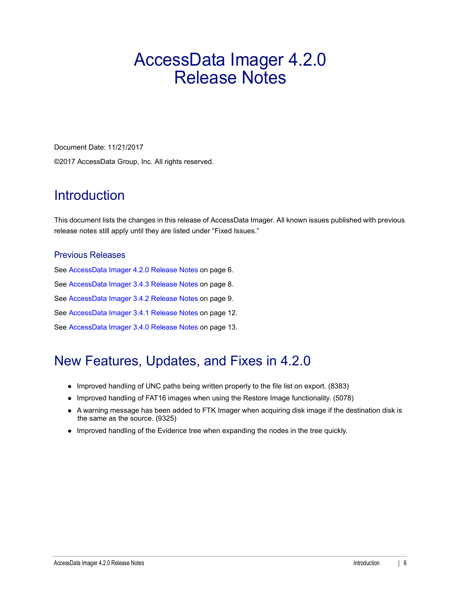# <span id="page-5-0"></span>AccessData Imager 4.2.0 Release Notes

Document Date: 11/21/2017 ©2017 AccessData Group, Inc. All rights reserved.

## **Introduction**

This document lists the changes in this release of AccessData Imager. All known issues published with previous release notes still apply until they are listed under "Fixed Issues."

### Previous Releases

[See AccessData Imager 4.2.0 Release Notes on page](#page-5-0) 6. [See AccessData Imager 3.4.3 Release Notes on page](#page-7-0) 8. [See AccessData Imager 3.4.2 Release Notes on page](#page-8-0) 9. [See AccessData Imager 3.4.1 Release Notes on page](#page-11-0) 12. [See AccessData Imager 3.4.0 Release Notes on page](#page-12-0) 13.

# New Features, Updates, and Fixes in 4.2.0

- Improved handling of UNC paths being written properly to the file list on export. (8383)
- Improved handling of FAT16 images when using the Restore Image functionality. (5078)
- A warning message has been added to FTK Imager when acquiring disk image if the destination disk is the same as the source. (9325)
- Improved handling of the Evidence tree when expanding the nodes in the tree quickly.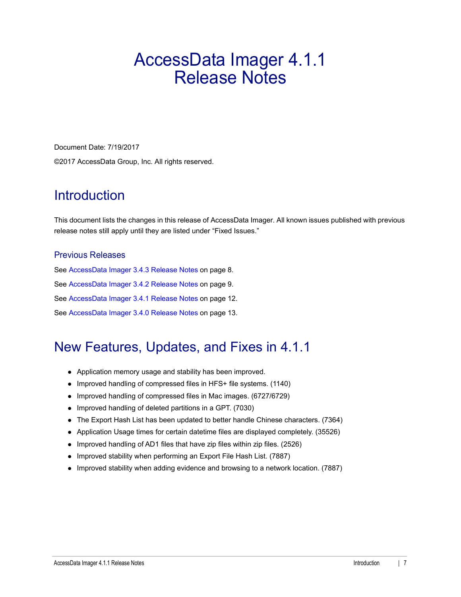# <span id="page-6-0"></span>AccessData Imager 4.1.1 Release Notes

Document Date: 7/19/2017 ©2017 AccessData Group, Inc. All rights reserved.

## **Introduction**

This document lists the changes in this release of AccessData Imager. All known issues published with previous release notes still apply until they are listed under "Fixed Issues."

### Previous Releases

[See AccessData Imager 3.4.3 Release Notes on page](#page-7-0) 8. [See AccessData Imager 3.4.2 Release Notes on page](#page-8-0) 9. [See AccessData Imager 3.4.1 Release Notes on page](#page-11-0) 12. [See AccessData Imager 3.4.0 Release Notes on page](#page-12-0) 13.

# New Features, Updates, and Fixes in 4.1.1

- Application memory usage and stability has been improved.
- Improved handling of compressed files in HFS+ file systems. (1140)
- Improved handling of compressed files in Mac images. (6727/6729)
- Improved handling of deleted partitions in a GPT. (7030)
- The Export Hash List has been updated to better handle Chinese characters. (7364)
- Application Usage times for certain datetime files are displayed completely. (35526)
- Improved handling of AD1 files that have zip files within zip files. (2526)
- Improved stability when performing an Export File Hash List. (7887)
- Improved stability when adding evidence and browsing to a network location. (7887)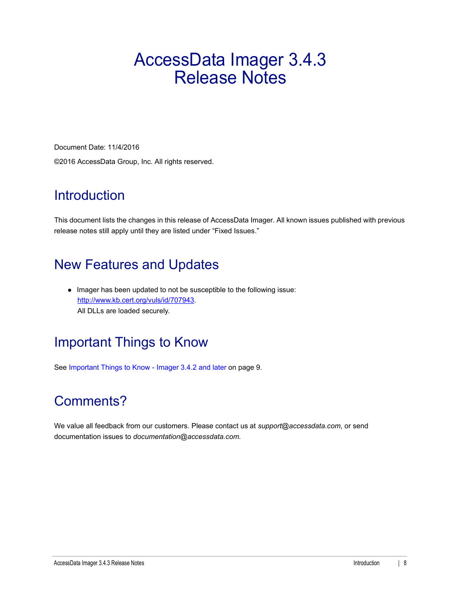# <span id="page-7-0"></span>AccessData Imager 3.4.3 Release Notes

Document Date: 11/4/2016 ©2016 AccessData Group, Inc. All rights reserved.

# **Introduction**

This document lists the changes in this release of AccessData Imager. All known issues published with previous release notes still apply until they are listed under "Fixed Issues."

# New Features and Updates

•Imager has been updated to not be susceptible to the following issue: http://www.kb.cert.org/vuls/id/707943. All DLLs are loaded securely.

# Important Things to Know

[See Important Things to Know - Imager 3.4.2 and later on page](#page-8-1) 9.

# Comments?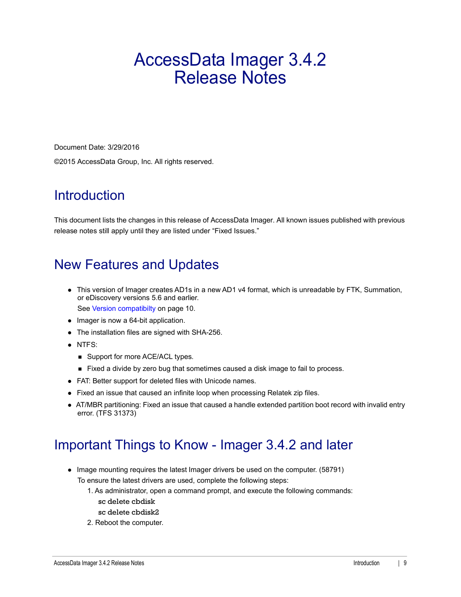# <span id="page-8-0"></span>AccessData Imager 3.4.2 Release Notes

Document Date: 3/29/2016 ©2015 AccessData Group, Inc. All rights reserved.

# **Introduction**

This document lists the changes in this release of AccessData Imager. All known issues published with previous release notes still apply until they are listed under "Fixed Issues."

# New Features and Updates

- This version of Imager creates AD1s in a new AD1 v4 format, which is unreadable by FTK, Summation, or eDiscovery versions 5.6 and earlier. [See Version compatibilty on page](#page-9-0) 10.
- Imager is now a 64-bit application.
- The installation files are signed with SHA-256.
- NTFS:
	- Support for more ACE/ACL types.
	- Fixed a divide by zero bug that sometimes caused a disk image to fail to process.
- FAT: Better support for deleted files with Unicode names.
- Fixed an issue that caused an infinite loop when processing Relatek zip files.
- AT/MBR partitioning: Fixed an issue that caused a handle extended partition boot record with invalid entry error. (TFS 31373)

### <span id="page-8-1"></span>Important Things to Know - Imager 3.4.2 and later

- Image mounting requires the latest Imager drivers be used on the computer. (58791) To ensure the latest drivers are used, complete the following steps:
	- 1. As administrator, open a command prompt, and execute the following commands: sc delete cbdisk
	- sc delete cbdisk2
	- 2. Reboot the computer.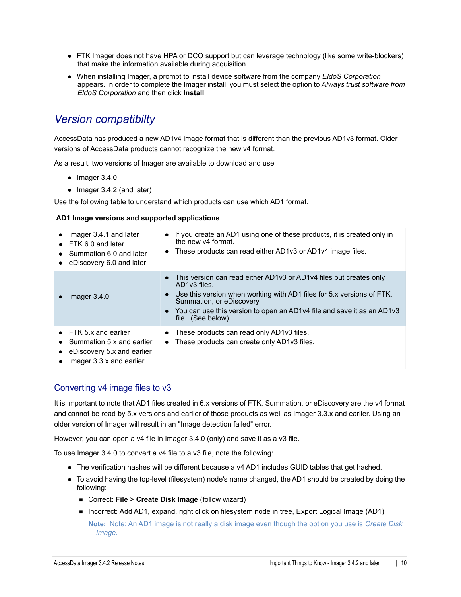- FTK Imager does not have HPA or DCO support but can leverage technology (like some write-blockers) that make the information available during acquisition.
- When installing Imager, a prompt to install device software from the company *EldoS Corporation*  appears. In order to complete the Imager install, you must select the option to *Always trust software from EldoS Corporation* and then click **Install**.

### <span id="page-9-0"></span>*Version compatibilty*

AccessData has produced a new AD1v4 image format that is different than the previous AD1v3 format. Older versions of AccessData products cannot recognize the new v4 format.

As a result, two versions of Imager are available to download and use:

- $\bullet$  Imager 3.4.0
- Imager 3.4.2 (and later)

Use the following table to understand which products can use which AD1 format.

#### **AD1 Image versions and supported applications**

| Imager 3.4.1 and later<br>$\bullet$ FTK 6.0 and later<br>Summation 6.0 and later<br>eDiscovery 6.0 and later           | If you create an AD1 using one of these products, it is created only in<br>the new v4 format.<br>• These products can read either AD1v3 or AD1v4 image files.                                                                                                                                    |
|------------------------------------------------------------------------------------------------------------------------|--------------------------------------------------------------------------------------------------------------------------------------------------------------------------------------------------------------------------------------------------------------------------------------------------|
| Imager $3.4.0$                                                                                                         | • This version can read either AD1v3 or AD1v4 files but creates only<br>AD1v3 files.<br>Use this version when working with AD1 files for 5.x versions of FTK,<br>Summation, or eDiscovery<br>• You can use this version to open an AD1 $v4$ file and save it as an AD1 $v3$<br>file. (See below) |
| $\bullet$ FTK 5.x and earlier<br>Summation 5.x and earlier<br>• eDiscovery 5.x and earlier<br>Imager 3.3.x and earlier | These products can read only AD1v3 files.<br>These products can create only AD1v3 files.<br>$\bullet$                                                                                                                                                                                            |

### Converting v4 image files to v3

It is important to note that AD1 files created in 6.x versions of FTK, Summation, or eDiscovery are the v4 format and cannot be read by 5.x versions and earlier of those products as well as Imager 3.3.x and earlier. Using an older version of Imager will result in an "Image detection failed" error.

However, you can open a v4 file in Imager 3.4.0 (only) and save it as a v3 file.

To use Imager 3.4.0 to convert a v4 file to a v3 file, note the following:

- The verification hashes will be different because a v4 AD1 includes GUID tables that get hashed.
- To avoid having the top-level (filesystem) node's name changed, the AD1 should be created by doing the following:
	- Correct: **File > Create Disk Image** (follow wizard)
	- Incorrect: Add AD1, expand, right click on filesystem node in tree, Export Logical Image (AD1) **Note:** Note: An AD1 image is not really a disk image even though the option you use is *Create Disk Image*.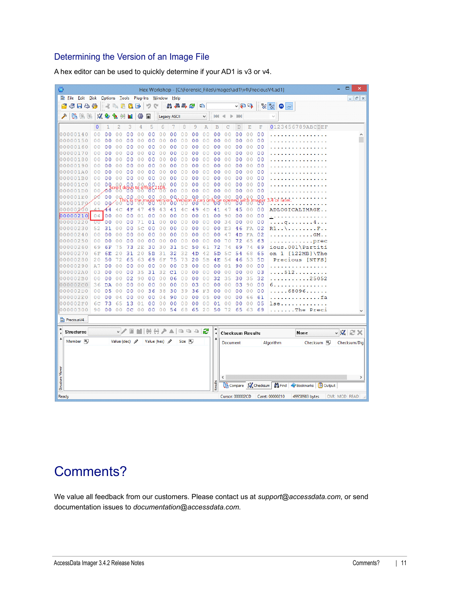### Determining the Version of an Image File

| Õ                |                           |    |                |                 |                          |                 |                           |                |                                    |                     |                          |                |                            |                                    |                                  |                |                |                           | Hex Workshop - [C:\Forensic_Files\images\ad1\v4\PreciousV4.ad1] | Ξ<br>$\boldsymbol{\mathsf{x}}$ |
|------------------|---------------------------|----|----------------|-----------------|--------------------------|-----------------|---------------------------|----------------|------------------------------------|---------------------|--------------------------|----------------|----------------------------|------------------------------------|----------------------------------|----------------|----------------|---------------------------|-----------------------------------------------------------------|--------------------------------|
|                  | <b>Con</b> Eile Edit Disk |    |                |                 |                          |                 |                           |                | Options Tools Plug-Ins Window Help |                     |                          |                |                            |                                    |                                  |                |                |                           |                                                                 | $ F$ $x$                       |
|                  | 子日も移                      |    |                | oK.             | $A$ $A$ $B$              |                 | B                         | りゃ             |                                    | 品相串之                |                          |                | 唱                          |                                    |                                  | 、日日            |                |                           | $\frac{10}{6}$ $\frac{16}{6}$<br>$\bigcirc$ and                 |                                |
|                  |                           |    |                |                 |                          |                 |                           |                |                                    |                     |                          |                |                            |                                    |                                  |                |                |                           |                                                                 |                                |
|                  | 电离用                       |    | $\mathcal{L}$  | Đ               | 馓                        |                 | 磕                         | Ħ              |                                    | <b>Legacy ASCII</b> |                          |                | v                          | MМ                                 | Þ                                | <b>BOY</b>     |                |                           | $\backsim$                                                      |                                |
|                  |                           |    | $\mathbf{0}$   | $\mathbf{1}$    | $\overline{c}$           | 3               | 4                         | 5              | 6                                  | 7                   | 8                        | 9              | A                          | $\overline{B}$                     | C                                | D              | E              | $\mathbf{F}% _{0}$        | 0123456789ABCDEF                                                |                                |
|                  | 00000140                  |    | 0 <sub>0</sub> | 0 <sub>0</sub>  | $\overline{0}$<br>0      | 0 <sub>0</sub>  | 0<br>$\Omega$             | 0 <sub>0</sub> | 0 <sub>0</sub>                     | 0 <sub>0</sub>      | 0 <sub>0</sub>           | 0 <sub>0</sub> | 0 <sub>0</sub>             | 0 <sub>0</sub>                     | $\overline{0}$<br>$\overline{0}$ | 0 <sub>0</sub> | 0 <sub>0</sub> | 0 <sup>0</sup>            |                                                                 | ۸                              |
|                  | 00000150                  |    | 00             | 00              | 0                        | 0               | 0<br>Ω                    | $\Omega$<br>0  | 0<br>O                             | 00                  | 0 <sub>0</sub>           | 0 <sub>0</sub> | $\Omega$<br>$\Omega$       | 00                                 | $\Omega$<br>0                    | 00             | 0 <sub>0</sub> | 0 <sup>0</sup>            |                                                                 |                                |
|                  | 00000160                  |    | 00             | 00              | 00                       | 0<br>0          | 0<br>$\circ$              | 0<br>0         | 0 <sub>0</sub>                     | 00                  | 00                       | 00             | 00                         | 00                                 | $\circ$<br>0                     | 00             | 0 <sup>0</sup> | 00                        |                                                                 |                                |
|                  | 00000170                  |    | 0 <sub>0</sub> | 0 <sub>0</sub>  | 0 <sup>0</sup>           | 0 <sub>0</sub>  | $\overline{0}$<br>$\circ$ | $\circ$<br>0   | 0 <sub>0</sub>                     | 0 <sub>0</sub>      | 0 <sub>0</sub>           | 0 <sub>0</sub> | 0 <sub>0</sub>             | 0 <sub>0</sub>                     | 0 <sub>0</sub>                   | 0 <sub>0</sub> | 0 <sub>0</sub> | 0 <sub>0</sub>            |                                                                 |                                |
|                  | 00000180                  |    | 0 <sub>0</sub> | 00              | 0 <sup>0</sup>           | 0<br>0          | 0<br>0                    | 0 <sup>0</sup> | 0 <sup>0</sup>                     | 00                  | 00                       | 00             | 00                         | 00                                 | 0 <sup>0</sup>                   | 00             | 0 <sup>0</sup> | 00                        |                                                                 |                                |
|                  | 00000190                  |    | 00             | 00              | 0                        | 0<br>$\Omega$   | 0<br>0                    | 0<br>0         | 00                                 | 00                  | 00                       | 00             | 0<br>$\Omega$              | 00                                 | 0<br>0                           | 00             | 00             | 00                        |                                                                 |                                |
|                  | 000001A0                  |    | 0 <sup>0</sup> | 0 <sup>0</sup>  | 0 <sub>0</sub>           | 0 <sub>0</sub>  | 0<br>$\Omega$             | 0 <sub>0</sub> | 0 <sup>0</sup>                     | 00                  | 0 <sup>0</sup>           | 0 <sub>0</sub> | $\Omega$<br>0              | 0 <sub>0</sub>                     | $\Omega$<br>0                    | 00             | 0 <sup>0</sup> | 0 <sub>0</sub>            |                                                                 |                                |
|                  | 000001B0                  |    | 00             | 0 <sub>0</sub>  | 0 <sub>0</sub>           | 0 <sub>0</sub>  | 0 <sub>0</sub>            | 0 <sub>0</sub> | 0 <sup>0</sup>                     | 00                  | 00                       | 0 <sup>0</sup> | 0<br>$\Omega$              | 0 <sub>0</sub>                     | $\Omega$<br>0                    | 00             | 0 <sup>0</sup> | 00                        |                                                                 |                                |
|                  | 000001C0                  |    | 0 <sub>0</sub> | 0Q              | 0.0                      | 00              | $\Omega$<br>$\Omega$      | 00.            | Ω                                  | 0 <sub>0</sub>      | 0 <sub>0</sub>           | 0 <sub>0</sub> | $\circ$<br>$\circ$         | 0 <sub>0</sub>                     | $\circ$<br>0                     | 0 <sub>0</sub> | 0 <sub>0</sub> | 0 <sup>0</sup>            |                                                                 |                                |
|                  | 000001D0                  |    | 0 <sup>0</sup> | ΛŐ              |                          | roll down<br>00 | to on                     | *მხ            | 10h.<br>00                         | 0 <sub>0</sub>      | 0 <sub>0</sub>           | 0 <sub>0</sub> | 0 <sub>0</sub>             | 0 <sub>0</sub>                     | 0 <sub>0</sub>                   | 0 <sub>0</sub> | 0 <sup>0</sup> | 0 <sub>0</sub>            |                                                                 |                                |
|                  | 000001E0                  |    | QÓ.            |                 | 0000                     | .0,0            | .O<br>$\circ$             | 0 <sub>0</sub> | $\Omega$<br>0.                     | 0Q                  | 00                       | 0.0            | 0<br>$\Omega$              | 0.0                                |                                  | 0,0            |                | 00                        | .4 or later.                                                    |                                |
|                  | 000001F0                  |    | 00             | 00 <sup>2</sup> | O.                       | ბ'ბ             |                           |                |                                    | ò<br>$\circ$        |                          | 0              |                            |                                    |                                  |                |                | ო                         |                                                                 |                                |
|                  | 00000200                  |    | 41             | 44              | 4                        | 4<br>F          | 47                        | 49             | 43                                 | 41                  | 4 <sup>c</sup>           | 49             | 4D                         | 41                                 | 4                                | 45             | 0 <sup>0</sup> | 00                        | ADLOGICALIMAGE                                                  |                                |
|                  | 00000210                  |    | 04             | 0 <sub>0</sub>  | $\circ$<br>0             | 00              | 01                        | 0 <sub>0</sub> | 0 <sup>0</sup>                     | 0 <sub>0</sub>      | 0 <sup>0</sup>           | 0 <sub>0</sub> | 01                         | 0 <sub>0</sub>                     | 9<br>0                           | 0 <sub>0</sub> | 0 <sup>0</sup> | 00                        |                                                                 |                                |
|                  | 00000220                  |    | OΟ             | 0 <sub>0</sub>  | 0 <sub>0</sub>           | 00              | 71                        | 01             | 0 <sub>0</sub>                     | 0 <sub>0</sub>      | 0 <sub>0</sub>           | 0 <sup>0</sup> | $\circ$<br>$\circ$         | 0 <sup>0</sup>                     | 34                               | 0 <sub>0</sub> | 0 <sub>0</sub> | 00                        | q                                                               |                                |
|                  | 00000230                  |    | 52             | 31              | 0 <sub>0</sub>           | 0 <sub>0</sub>  | 5<br>C                    | 0 <sub>0</sub> | 0 <sub>0</sub>                     | 0 <sub>0</sub>      | 0 <sub>0</sub>           | 0 <sub>0</sub> | $\Omega$<br>$\Omega$       | 0 <sub>0</sub>                     | E<br>3                           | 46             | FA             | 02                        | R1.<br>$\cdot$ F $\cdot$ .                                      |                                |
| 0000             | 02                        | 40 | 00             | 00              | 0<br>n                   | 00              | 0<br>$\Omega$             | 00             | 0 <sub>0</sub>                     | 00                  | 00                       | 0 <sub>0</sub> | $\circ$<br>0               | 00                                 | 4                                | 4 D            | FA             | 02                        | $\ldots$ GM. $\ldots$                                           |                                |
|                  | 00000250                  |    | 0 <sub>0</sub> | 00              | 0 <sub>0</sub>           | 0 <sub>0</sub>  | 0 <sub>0</sub>            | 0 <sub>0</sub> | 0 <sub>0</sub>                     | 0 <sub>0</sub>      | 0 <sub>0</sub>           | 0 <sub>0</sub> | 0 <sub>0</sub>             | 0 <sub>0</sub>                     | 70                               | 72             | 65             | 63                        | $\ldots \ldots$ prec                                            |                                |
|                  | 00000260                  |    | 69             | 6F              | 75                       | 73              | 2E                        | 30             | 30                                 | 31                  | 5 <sub>c</sub>           | 50             | 61                         | 72                                 | 74                               | 69             | 74             | 69                        | ious.001\Partiti                                                |                                |
|                  | 00000270                  |    | 6F             | 6E              | 20                       | 31              | 20                        | 5B             | 31                                 | 32                  | 32                       | 4D             | 42                         | 5D                                 | 5 <sub>c</sub>                   | 54             | 68             | 65                        | on $1$ [122MB] \The                                             |                                |
|                  | 00000280                  |    | 20             | 50              | 72                       | 65              | 63                        | 69             | 6F                                 | 75                  | 73                       | 20             | 5B                         | 4E                                 | 54                               | 46             | 53             | 5D                        | Precious [NTFS]                                                 |                                |
|                  | 00000290                  |    | A <sub>7</sub> | 0 <sub>0</sub>  | 00                       | 00              | 00                        | 00             | 00                                 | 00                  | 03                       | 00             | 00                         | 0 <sub>0</sub>                     | 01                               | 90             | 00             | 0 <sup>0</sup>            | $\sim$ $\sim$ $\sim$                                            |                                |
|                  | 000002A0                  |    | 03             | 00              | 0 <sup>0</sup>           | 00              | 35                        | 31             | 32                                 | C1                  | 00                       | 00             | 0 <sup>0</sup>             | 0 <sub>0</sub>                     | 0 <sup>0</sup>                   | 0 <sub>0</sub> | 0 <sup>0</sup> | 03                        | . . 512                                                         |                                |
|                  | 000002B0                  |    | 0 <sup>0</sup> | 00              | 0 <sup>0</sup>           | 02              | 90                        | 0 <sub>0</sub> | 0 <sub>0</sub>                     | 06                  | 0 <sup>0</sup>           | 0 <sub>0</sub> | $\overline{0}$<br>$\circ$  | 32                                 | 35                               | 30             | 35             | 32                        | $\ldots \ldots 25052$                                           |                                |
|                  | 000002C0                  |    | 36             | DA              | 0 <sup>0</sup>           | 00              | 0<br>$\circ$              | 00             | 0 <sub>0</sub>                     | 00                  | 0 <sub>0</sub>           | 03             | $\overline{0}$<br>$\theta$ | 0 <sub>0</sub>                     | $\circ$<br>$\overline{0}$        | 03             | 90             | 0 <sub>0</sub>            | 6                                                               |                                |
|                  | 000002D0                  |    | 0 <sup>0</sup> | 05              | 0 <sup>0</sup>           | 0 <sub>0</sub>  | 0<br>$\overline{0}$       | 3<br>6         | 38                                 | 30                  | 39                       | 36             | F<br>з                     | 00                                 | $\circ$<br>0                     | 0 <sub>0</sub> | 0 <sub>0</sub> | 00                        | .68096                                                          |                                |
|                  | 000002E0                  |    | 0 <sub>0</sub> | 00              | 0 <sub>4</sub>           | 00              | 0<br>$\Omega$             | 0 <sub>0</sub> | 4<br>0                             | 90                  | 0 <sub>0</sub>           | 0 <sub>0</sub> | $\overline{0}$<br>5        | 0 <sub>0</sub>                     | $\circ$<br>0                     | 00             | 66             | 61                        | fa<br>.                                                         |                                |
|                  | 000002F0                  |    | 6C             | 73              | 6                        | 13              | 0                         | 00             | 0 <sub>0</sub>                     | 00                  | 0 <sup>0</sup>           | 0 <sub>0</sub> | 0 <sub>0</sub>             | 01                                 | $\circ$<br>0                     | 00             | 0 <sub>0</sub> | 0 <sub>5</sub>            | 1se.                                                            |                                |
|                  | 00000300                  |    | 90             | 0 <sup>0</sup>  | 00                       | 0 <sup>c</sup>  | 00                        | 00             |                                    | 00 54 68            |                          |                | 65 20                      | 50                                 | 72                               | 65             | 63             | 69                        | The Preci                                                       |                                |
|                  | <b>PreciousV4</b>         |    |                |                 |                          |                 |                           |                |                                    |                     |                          |                |                            |                                    |                                  |                |                |                           |                                                                 |                                |
| ×                | <b>Structures</b>         |    |                |                 |                          | $\vee$ / $\Box$ |                           |                | ■  평日プ▲  中中中  2                    |                     |                          |                |                            | ×                                  |                                  |                |                |                           |                                                                 |                                |
| 4                |                           |    |                |                 |                          |                 |                           |                |                                    |                     |                          |                |                            | $\ddot{\phantom{1}}$<br>$\uparrow$ | <b>Checksum Results</b>          |                |                |                           | None                                                            | $\vee$ X $\cong$ X             |
|                  | Member <sub>16</sub>      |    |                |                 | Value (dec) $\mathscr P$ |                 |                           |                | Value (hex) $\mathscr P$           |                     | $Size$ <sup>16</sup> $p$ |                |                            |                                    | Document                         |                |                |                           | Checksum 10<br>Algorithm                                        | Checksum/Dig                   |
|                  |                           |    |                |                 |                          |                 |                           |                |                                    |                     |                          |                |                            |                                    |                                  |                |                |                           |                                                                 |                                |
|                  |                           |    |                |                 |                          |                 |                           |                |                                    |                     |                          |                |                            |                                    |                                  |                |                |                           |                                                                 |                                |
|                  |                           |    |                |                 |                          |                 |                           |                |                                    |                     |                          |                |                            |                                    |                                  |                |                |                           |                                                                 |                                |
|                  |                           |    |                |                 |                          |                 |                           |                |                                    |                     |                          |                |                            |                                    |                                  |                |                |                           |                                                                 |                                |
|                  |                           |    |                |                 |                          |                 |                           |                |                                    |                     |                          |                |                            |                                    | $\overline{\phantom{a}}$         |                |                |                           |                                                                 | $\,$                           |
| Structure Viewer |                           |    |                |                 |                          |                 |                           |                |                                    |                     |                          |                |                            | Results                            |                                  |                |                | Compare <b>W</b> Checksum | Find Bookmarks   is Output                                      |                                |
| Ready            |                           |    |                |                 |                          |                 |                           |                |                                    |                     |                          |                |                            |                                    |                                  |                |                |                           | Cursor: 000002CD    Caret: 00000210<br>49958983 bytes           | OVR MOD READ                   |

A hex editor can be used to quickly determine if your AD1 is v3 or v4.

# Comments?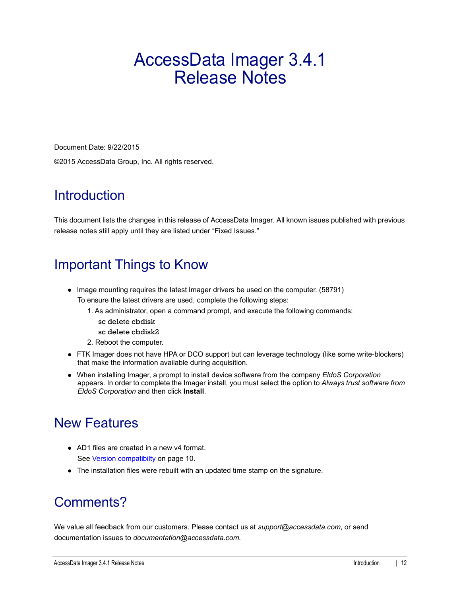# <span id="page-11-0"></span>AccessData Imager 3.4.1 Release Notes

Document Date: 9/22/2015 ©2015 AccessData Group, Inc. All rights reserved.

# **Introduction**

This document lists the changes in this release of AccessData Imager. All known issues published with previous release notes still apply until they are listed under "Fixed Issues."

# Important Things to Know

- Image mounting requires the latest Imager drivers be used on the computer. (58791) To ensure the latest drivers are used, complete the following steps:
	- 1. As administrator, open a command prompt, and execute the following commands:
		- sc delete cbdisk
		- sc delete cbdisk2
	- 2. Reboot the computer.
- FTK Imager does not have HPA or DCO support but can leverage technology (like some write-blockers) that make the information available during acquisition.
- When installing Imager, a prompt to install device software from the company *EldoS Corporation*  appears. In order to complete the Imager install, you must select the option to *Always trust software from EldoS Corporation* and then click **Install**.

# New Features

- AD1 files are created in a new v4 format. [See Version compatibilty on page](#page-9-0) 10.
- The installation files were rebuilt with an updated time stamp on the signature.

# Comments?